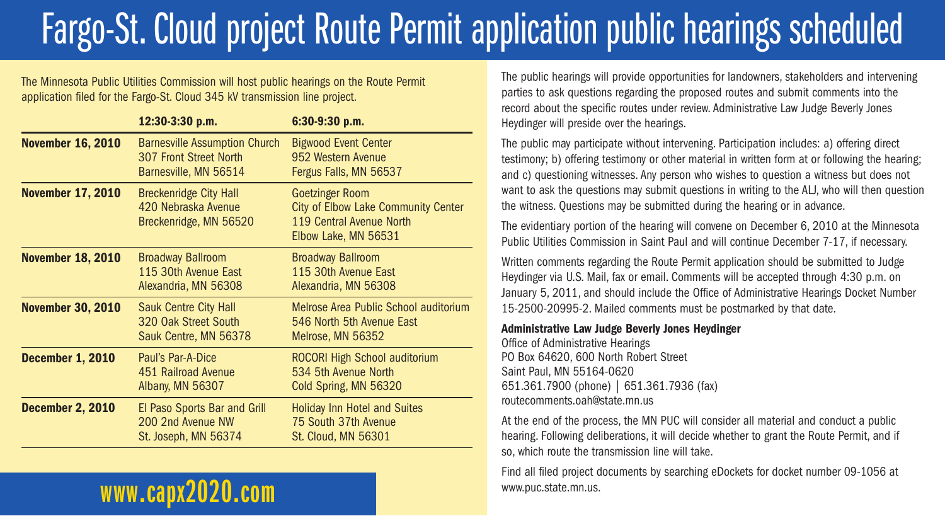# Fargo-St. Cloud project Route Permit application public hearings scheduled

The Minnesota Public Utilities Commission will host public hearings on the Route Permit application filed for the Fargo-St. Cloud 345 kV transmission line project.

|                          | 12:30-3:30 p.m.                                                                         | 6:30-9:30 p.m.                                                                                                           |
|--------------------------|-----------------------------------------------------------------------------------------|--------------------------------------------------------------------------------------------------------------------------|
| <b>November 16, 2010</b> | <b>Barnesville Assumption Church</b><br>307 Front Street North<br>Barnesville, MN 56514 | <b>Bigwood Event Center</b><br>952 Western Avenue<br>Fergus Falls, MN 56537                                              |
| <b>November 17, 2010</b> | <b>Breckenridge City Hall</b><br>420 Nebraska Avenue<br>Breckenridge, MN 56520          | <b>Goetzinger Room</b><br><b>City of Elbow Lake Community Center</b><br>119 Central Avenue North<br>Elbow Lake, MN 56531 |
| <b>November 18, 2010</b> | <b>Broadway Ballroom</b><br>115 30th Avenue East<br>Alexandria, MN 56308                | <b>Broadway Ballroom</b><br>115 30th Avenue East<br>Alexandria, MN 56308                                                 |
| <b>November 30, 2010</b> | <b>Sauk Centre City Hall</b><br>320 Oak Street South<br>Sauk Centre, MN 56378           | Melrose Area Public School auditorium<br>546 North 5th Avenue East<br>Melrose, MN 56352                                  |
| <b>December 1, 2010</b>  | Paul's Par-A-Dice<br>451 Railroad Avenue<br>Albany, MN 56307                            | ROCORI High School auditorium<br>534 5th Avenue North<br>Cold Spring, MN 56320                                           |
| <b>December 2, 2010</b>  | El Paso Sports Bar and Grill<br>200 2nd Avenue NW<br>St. Joseph, MN 56374               | <b>Holiday Inn Hotel and Suites</b><br>75 South 37th Avenue<br><b>St. Cloud, MN 56301</b>                                |

## **www.capx2020.com**

The public hearings will provide opportunities for landowners, stakeholders and intervening parties to ask questions regarding the proposed routes and submit comments into the record about the specific routes under review. Administrative Law Judge Beverly Jones Heydinger will preside over the hearings.

The public may participate without intervening. Participation includes: a) offering direct testimony; b) offering testimony or other material in written form at or following the hearing; and c) questioning witnesses. Any person who wishes to question a witness but does not want to ask the questions may submit questions in writing to the ALJ, who will then question the witness. Questions may be submitted during the hearing or in advance.

The evidentiary portion of the hearing will convene on December 6, 2010 at the Minnesota Public Utilities Commission in Saint Paul and will continue December 7-17, if necessary.

Written comments regarding the Route Permit application should be submitted to Judge Heydinger via U.S. Mail, fax or email. Comments will be accepted through 4:30 p.m. on January 5, 2011, and should include the Office of Administrative Hearings Docket Number 15-2500-20995-2. Mailed comments must be postmarked by that date.

#### **Administrative Law Judge Beverly Jones Heydinger**

Office of Administrative Hearings PO Box 64620, 600 North Robert Street Saint Paul, MN 55164-0620 651.361.7900 (phone) | 651.361.7936 (fax) routecomments.oah@state.mn.us

At the end of the process, the MN PUC will consider all material and conduct a public hearing. Following deliberations, it will decide whether to grant the Route Permit, and if so, which route the transmission line will take.

Find all filed project documents by searching eDockets for docket number 09-1056 at www.puc.state.mn.us.